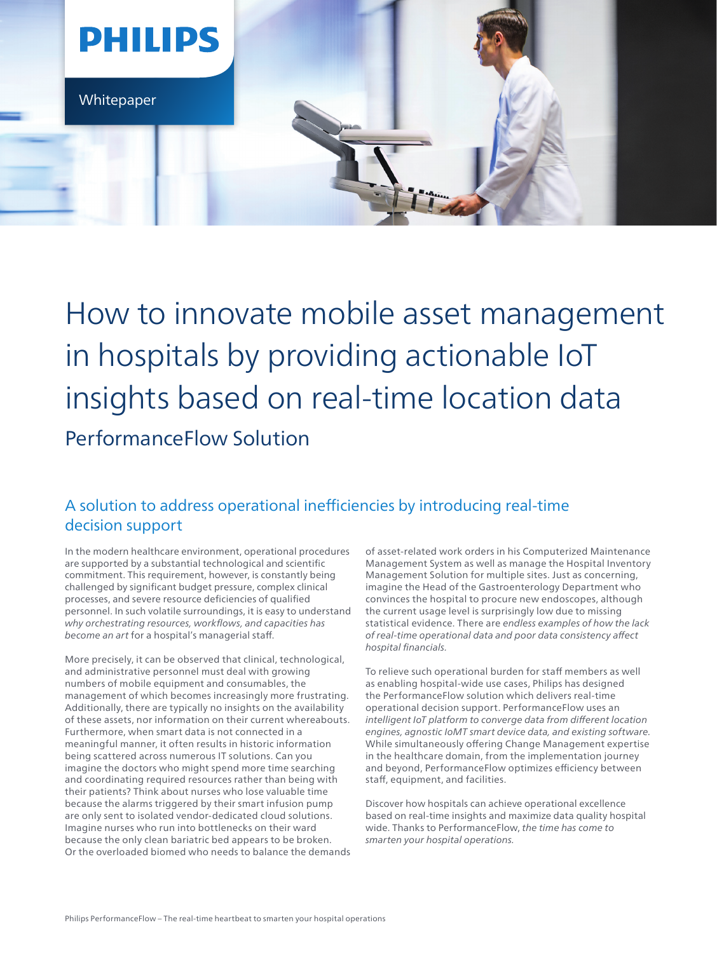

How to innovate mobile asset management in hospitals by providing actionable IoT insights based on real-time location data PerformanceFlow Solution

## A solution to address operational inefficiencies by introducing real-time decision support

In the modern healthcare environment, operational procedures are supported by a substantial technological and scientific commitment. This requirement, however, is constantly being challenged by significant budget pressure, complex clinical processes, and severe resource deficiencies of qualified personnel. In such volatile surroundings, it is easy to understand why orchestrating resources, workflows, and capacities has *become an art* for a hospital's managerial staff.

More precisely, it can be observed that clinical, technological, and administrative personnel must deal with growing numbers of mobile equipment and consumables, the management of which becomes increasingly more frustrating. Additionally, there are typically no insights on the availability of these assets, nor information on their current whereabouts. Furthermore, when smart data is not connected in a meaningful manner, it often results in historic information being scattered across numerous IT solutions. Can you imagine the doctors who might spend more time searching and coordinating required resources rather than being with their patients? Think about nurses who lose valuable time because the alarms triggered by their smart infusion pump are only sent to isolated vendor-dedicated cloud solutions. Imagine nurses who run into bottlenecks on their ward because the only clean bariatric bed appears to be broken. Or the overloaded biomed who needs to balance the demands of asset-related work orders in his Computerized Maintenance Management System as well as manage the Hospital Inventory Management Solution for multiple sites. Just as concerning, imagine the Head of the Gastroenterology Department who convinces the hospital to procure new endoscopes, although the current usage level is surprisingly low due to missing statistical evidence. There are endless examples of how the lack of real-time operational data and poor data consistency affect hospital financials.

To relieve such operational burden for staff members as well as enabling hospital-wide use cases, Philips has designed the PerformanceFlow solution which delivers real-time operational decision support. PerformanceFlow uses an intelligent IoT platform to converge data from different location engines, agnostic IoMT smart device data, and existing software. While simultaneously offering Change Management expertise in the healthcare domain, from the implementation journey and beyond, PerformanceFlow optimizes efficiency between staff, equipment, and facilities.

Discover how hospitals can achieve operational excellence based on real-time insights and maximize data quality hospital wide. Thanks to PerformanceFlow, *the time has come to*  smarten your hospital operations.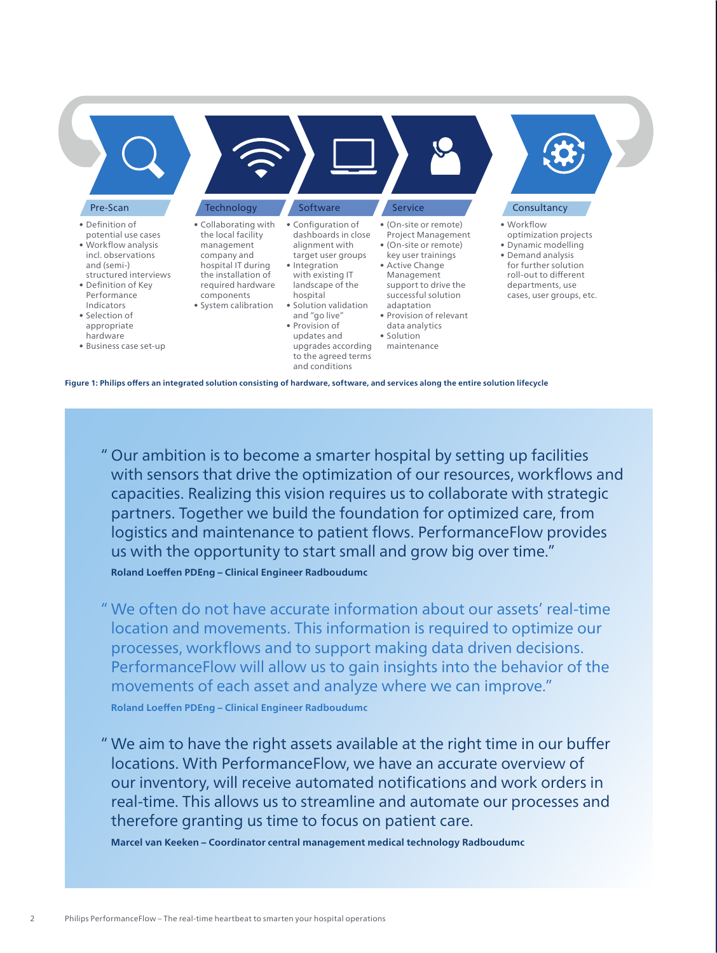

" Our ambition is to become a smarter hospital by setting up facilities with sensors that drive the optimization of our resources, workflows and capacities. Realizing this vision requires us to collaborate with strategic partners. Together we build the foundation for optimized care, from logistics and maintenance to patient flows. PerformanceFlow provides us with the opportunity to start small and grow big over time."

**Roland Loeffen PDEng – Clinical Engineer Radboudumc**

" We often do not have accurate information about our assets' real-time location and movements. This information is required to optimize our processes, workflows and to support making data driven decisions. PerformanceFlow will allow us to gain insights into the behavior of the movements of each asset and analyze where we can improve." **Roland Loeffen PDEng – Clinical Engineer Radboudumc**

" We aim to have the right assets available at the right time in our buffer locations. With PerformanceFlow, we have an accurate overview of our inventory, will receive automated notifications and work orders in real-time. This allows us to streamline and automate our processes and therefore granting us time to focus on patient care.

**Marcel van Keeken – Coordinator central management medical technology Radboudumc**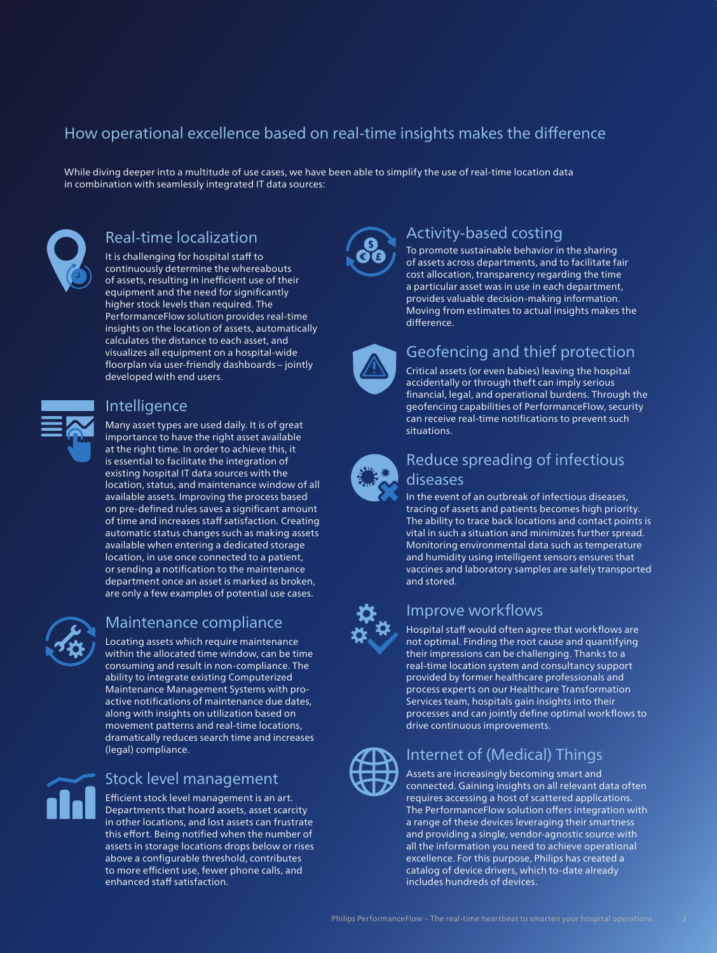# How operational excellence based on real-time insights makes the difference

While diving deeper into a multitude of use cases, we have been able to simplify the use of real-time location data in combination with seamlessly integrated IT data sources:



### Real-time localization

It is challenging for hospital staff to continuously determine the whereabouts of assets, resulting in inefficient use of their equipment and the need for significantly higher stock levels than required. The PerformanceFlow solution provides real-time insights on the location of assets, automatically calculates the distance to each asset, and visualizes all equipment on a hospital-wide floorplan via user-friendly dashboards – jointly developed with end users.



#### Intelligence

Many asset types are used daily. It is of great importance to have the right asset available at the right time. In order to achieve this, it is essential to facilitate the integration of existing hospital IT data sources with the location, status, and maintenance window of all available assets. Improving the process based on pre-defined rules saves a significant amount of time and increases staff satisfaction. Creating automatic status changes such as making assets available when entering a dedicated storage location, in use once connected to a patient, or sending a notification to the maintenance department once an asset is marked as broken, are only a few examples of potential use cases.



## Maintenance compliance

Locating assets which require maintenance within the allocated time window, can be time consuming and result in non-compliance. The ability to integrate existing Computerized Maintenance Management Systems with proactive notifications of maintenance due dates, along with insights on utilization based on movement patterns and real-time locations, dramatically reduces search time and increases (legal) compliance.



# Stock level management

Efficient stock level management is an art. Departments that hoard assets, asset scarcity in other locations, and lost assets can frustrate this effort. Being notified when the number of assets in storage locations drops below or rises above a configurable threshold, contributes to more efficient use, fewer phone calls, and enhanced staff satisfaction.



### Activity-based costing

To promote sustainable behavior in the sharing of assets across departments, and to facilitate fair cost allocation, transparency regarding the time a particular asset was in use in each department, provides valuable decision-making information. Moving from estimates to actual insights makes the difference



# Geofencing and thief protection

Critical assets (or even babies) leaving the hospital accidentally or through theft can imply serious financial, legal, and operational burdens. Through the geofencing capabilities of PerformanceFlow, security can receive real-time notifications to prevent such situations.



#### Reduce spreading of infectious diseases

In the event of an outbreak of infectious diseases, tracing of assets and patients becomes high priority. The ability to trace back locations and contact points is vital in such a situation and minimizes further spread. Monitoring environmental data such as temperature and humidity using intelligent sensors ensures that vaccines and laboratory samples are safely transported and stored.



### Improve workflows

Hospital staff would often agree that workflows are not optimal. Finding the root cause and quantifying their impressions can be challenging. Thanks to a real-time location system and consultancy support provided by former healthcare professionals and process experts on our Healthcare Transformation Services team, hospitals gain insights into their processes and can jointly define optimal workflows to drive continuous improvements.



### Internet of (Medical) Things

Assets are increasingly becoming smart and connected. Gaining insights on all relevant data often requires accessing a host of scattered applications. The PerformanceFlow solution offers integration with a range of these devices leveraging their smartness and providing a single, vendor-agnostic source with all the information you need to achieve operational excellence. For this purpose, Philips has created a catalog of device drivers, which to-date already includes hundreds of devices.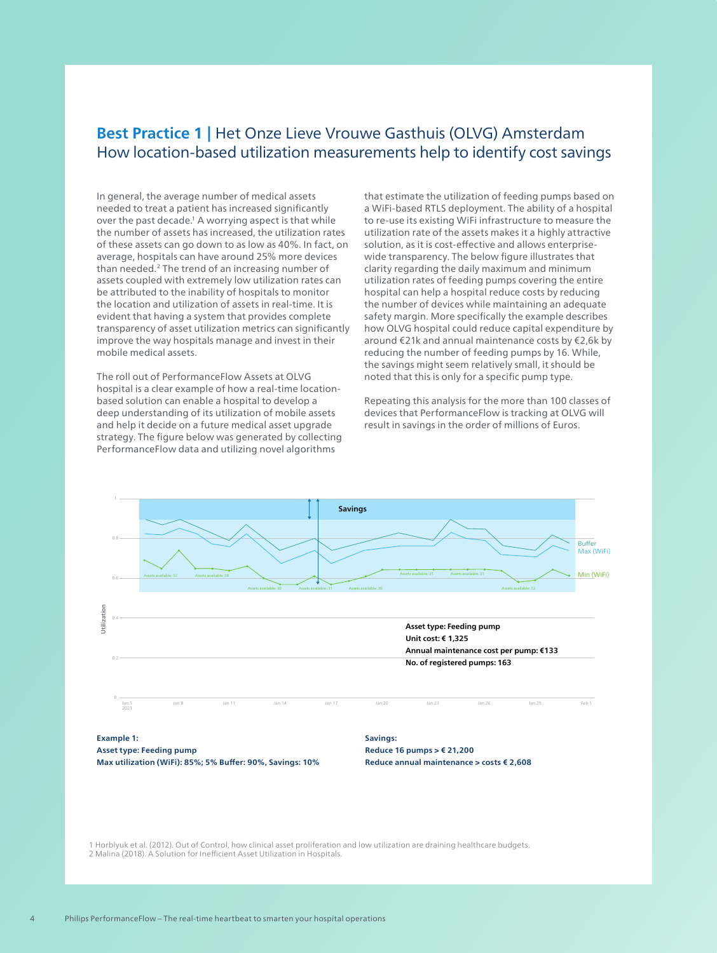#### **Best Practice 1 |** Het Onze Lieve Vrouwe Gasthuis (OLVG) Amsterdam How location-based utilization measurements help to identify cost savings

In general, the average number of medical assets needed to treat a patient has increased significantly over the past decade.1 A worrying aspect is that while the number of assets has increased, the utilization rates of these assets can go down to as low as 40%. In fact, on average, hospitals can have around 25% more devices than needed.2 The trend of an increasing number of assets coupled with extremely low utilization rates can be attributed to the inability of hospitals to monitor the location and utilization of assets in real-time. It is evident that having a system that provides complete transparency of asset utilization metrics can significantly improve the way hospitals manage and invest in their mobile medical assets.

The roll out of PerformanceFlow Assets at OLVG hospital is a clear example of how a real-time locationbased solution can enable a hospital to develop a deep understanding of its utilization of mobile assets and help it decide on a future medical asset upgrade strategy. The figure below was generated by collecting PerformanceFlow data and utilizing novel algorithms

that estimate the utilization of feeding pumps based on a WiFi-based RTLS deployment. The ability of a hospital to re-use its existing WiFi infrastructure to measure the utilization rate of the assets makes it a highly attractive solution, as it is cost-effective and allows enterprisewide transparency. The below figure illustrates that clarity regarding the daily maximum and minimum utilization rates of feeding pumps covering the entire hospital can help a hospital reduce costs by reducing the number of devices while maintaining an adequate safety margin. More specifically the example describes how OLVG hospital could reduce capital expenditure by around €21k and annual maintenance costs by €2,6k by reducing the number of feeding pumps by 16. While, the savings might seem relatively small, it should be noted that this is only for a specific pump type.

Repeating this analysis for the more than 100 classes of devices that PerformanceFlow is tracking at OLVG will result in savings in the order of millions of Euros.



1 Horblyuk et al. (2012). Out of Control, how clinical asset proliferation and low utilization are draining healthcare budgets. 2 Malina (2018). A Solution for Inefficient Asset Utilization in Hospitals.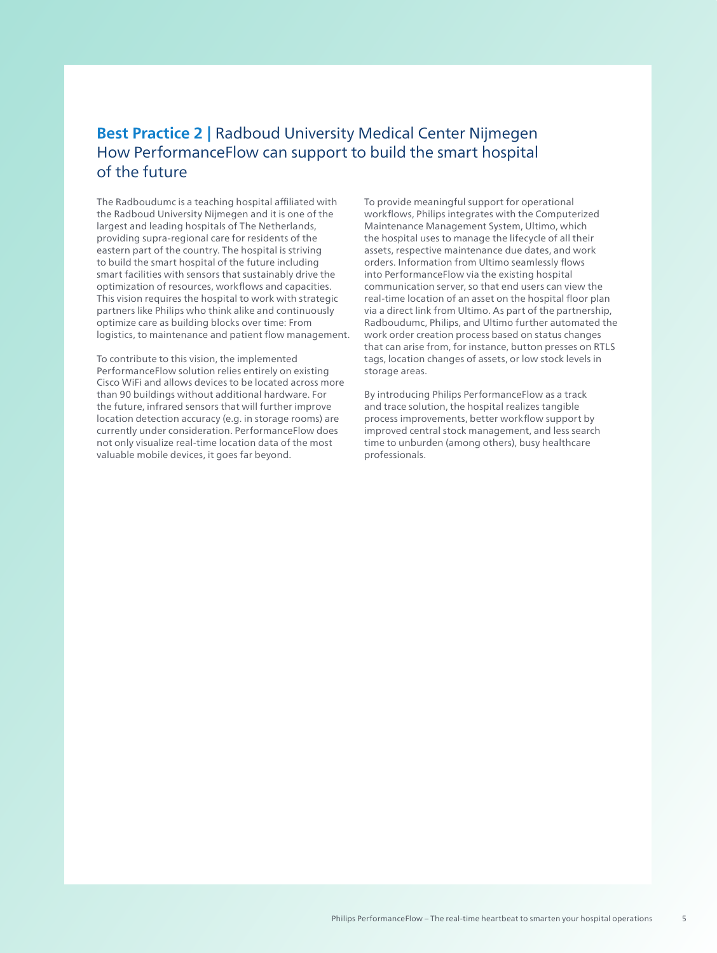#### **Best Practice 2 |** Radboud University Medical Center Nijmegen How PerformanceFlow can support to build the smart hospital of the future

The Radboudumc is a teaching hospital affiliated with the Radboud University Nijmegen and it is one of the largest and leading hospitals of The Netherlands, providing supra-regional care for residents of the eastern part of the country. The hospital is striving to build the smart hospital of the future including smart facilities with sensors that sustainably drive the optimization of resources, workflows and capacities. This vision requires the hospital to work with strategic partners like Philips who think alike and continuously optimize care as building blocks over time: From logistics, to maintenance and patient flow management.

To contribute to this vision, the implemented PerformanceFlow solution relies entirely on existing Cisco WiFi and allows devices to be located across more than 90 buildings without additional hardware. For the future, infrared sensors that will further improve location detection accuracy (e.g. in storage rooms) are currently under consideration. PerformanceFlow does not only visualize real-time location data of the most valuable mobile devices, it goes far beyond.

To provide meaningful support for operational workflows, Philips integrates with the Computerized Maintenance Management System, Ultimo, which the hospital uses to manage the lifecycle of all their assets, respective maintenance due dates, and work orders. Information from Ultimo seamlessly flows into PerformanceFlow via the existing hospital communication server, so that end users can view the real-time location of an asset on the hospital floor plan via a direct link from Ultimo. As part of the partnership, Radboudumc, Philips, and Ultimo further automated the work order creation process based on status changes that can arise from, for instance, button presses on RTLS tags, location changes of assets, or low stock levels in storage areas.

By introducing Philips PerformanceFlow as a track and trace solution, the hospital realizes tangible process improvements, better workflow support by improved central stock management, and less search time to unburden (among others), busy healthcare professionals.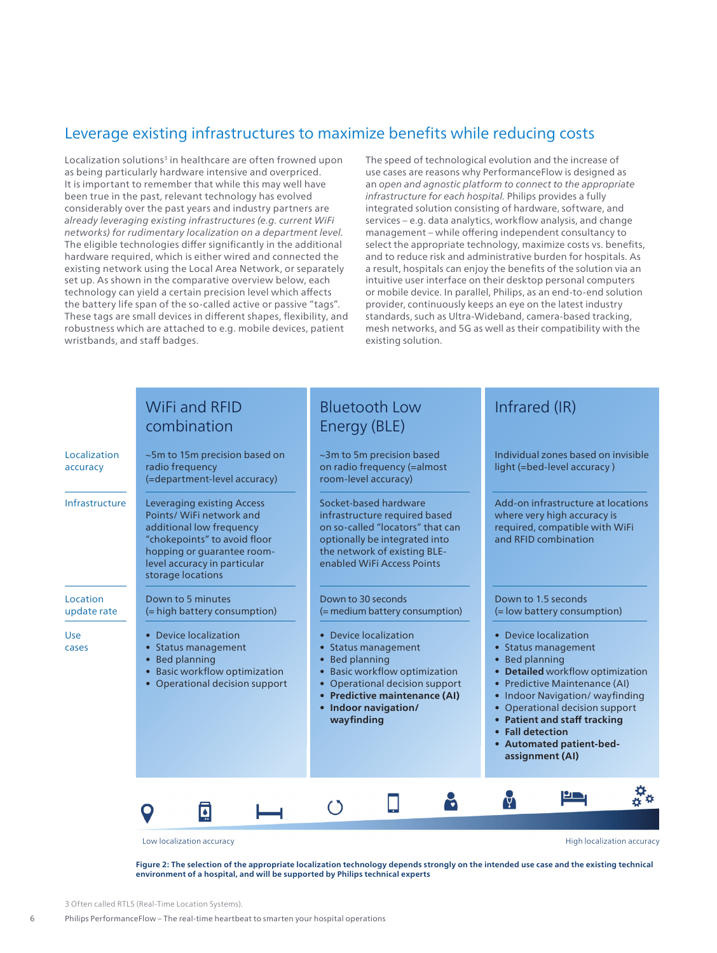### Leverage existing infrastructures to maximize benefits while reducing costs

Localization solutions<sup>3</sup> in healthcare are often frowned upon as being particularly hardware intensive and overpriced. It is important to remember that while this may well have been true in the past, relevant technology has evolved considerably over the past years and industry partners are already leveraging existing infrastructures (e.g. current WiFi networks) for rudimentary localization on a department level. The eligible technologies differ significantly in the additional hardware required, which is either wired and connected the existing network using the Local Area Network, or separately set up. As shown in the comparative overview below, each technology can yield a certain precision level which affects the battery life span of the so-called active or passive "tags". These tags are small devices in different shapes, flexibility, and robustness which are attached to e.g. mobile devices, patient wristbands, and staff badges.

The speed of technological evolution and the increase of use cases are reasons why PerformanceFlow is designed as an open and agnostic platform to connect to the appropriate infrastructure for each hospital. Philips provides a fully integrated solution consisting of hardware, software, and services – e.g. data analytics, workflow analysis, and change management – while offering independent consultancy to select the appropriate technology, maximize costs vs. benefits, and to reduce risk and administrative burden for hospitals. As a result, hospitals can enjoy the benefits of the solution via an intuitive user interface on their desktop personal computers or mobile device. In parallel, Philips, as an end-to-end solution provider, continuously keeps an eye on the latest industry standards, such as Ultra-Wideband, camera-based tracking, mesh networks, and 5G as well as their compatibility with the existing solution.

|                          | <b>WiFi and RFID</b><br>combination                                                                                                                                                                   | <b>Bluetooth Low</b><br>Energy (BLE)                                                                                                                                                                     | Infrared (IR)                                                                                                                                                                                                                                                                                               |
|--------------------------|-------------------------------------------------------------------------------------------------------------------------------------------------------------------------------------------------------|----------------------------------------------------------------------------------------------------------------------------------------------------------------------------------------------------------|-------------------------------------------------------------------------------------------------------------------------------------------------------------------------------------------------------------------------------------------------------------------------------------------------------------|
| Localization<br>accuracy | ~5m to 15m precision based on<br>radio frequency<br>(=department-level accuracy)                                                                                                                      | ~3m to 5m precision based<br>on radio frequency (=almost<br>room-level accuracy)                                                                                                                         | Individual zones based on invisible<br>light (=bed-level accuracy)                                                                                                                                                                                                                                          |
| Infrastructure           | Leveraging existing Access<br>Points/ WiFi network and<br>additional low frequency<br>"chokepoints" to avoid floor<br>hopping or guarantee room-<br>level accuracy in particular<br>storage locations | Socket-based hardware<br>infrastructure required based<br>on so-called "locators" that can<br>optionally be integrated into<br>the network of existing BLE-<br>enabled WiFi Access Points                | Add-on infrastructure at locations<br>where very high accuracy is<br>required, compatible with WiFi<br>and RFID combination                                                                                                                                                                                 |
| Location<br>update rate  | Down to 5 minutes<br>(= high battery consumption)                                                                                                                                                     | Down to 30 seconds<br>(= medium battery consumption)                                                                                                                                                     | Down to 1.5 seconds<br>(= low battery consumption)                                                                                                                                                                                                                                                          |
| Use<br>cases             | • Device localization<br>• Status management<br>• Bed planning<br>• Basic workflow optimization<br>• Operational decision support                                                                     | • Device localization<br>• Status management<br>• Bed planning<br>• Basic workflow optimization<br>• Operational decision support<br>• Predictive maintenance (AI)<br>• Indoor navigation/<br>wayfinding | • Device localization<br>• Status management<br>• Bed planning<br>• Detailed workflow optimization<br>• Predictive Maintenance (AI)<br>• Indoor Navigation/ wayfinding<br>• Operational decision support<br>• Patient and staff tracking<br>• Fall detection<br>• Automated patient-bed-<br>assignment (AI) |
|                          | ņ                                                                                                                                                                                                     | $\hat{ }$ )                                                                                                                                                                                              | M                                                                                                                                                                                                                                                                                                           |
|                          | Low localization accuracy                                                                                                                                                                             |                                                                                                                                                                                                          | High localization accuracy                                                                                                                                                                                                                                                                                  |

**Figure 2: The selection of the appropriate localization technology depends strongly on the intended use case and the existing technical environment of a hospital, and will be supported by Philips technical experts**

3 Often called RTLS (Real-Time Location Systems).

6 Philips PerformanceFlow – The real-time heartbeat to smarten your hospital operations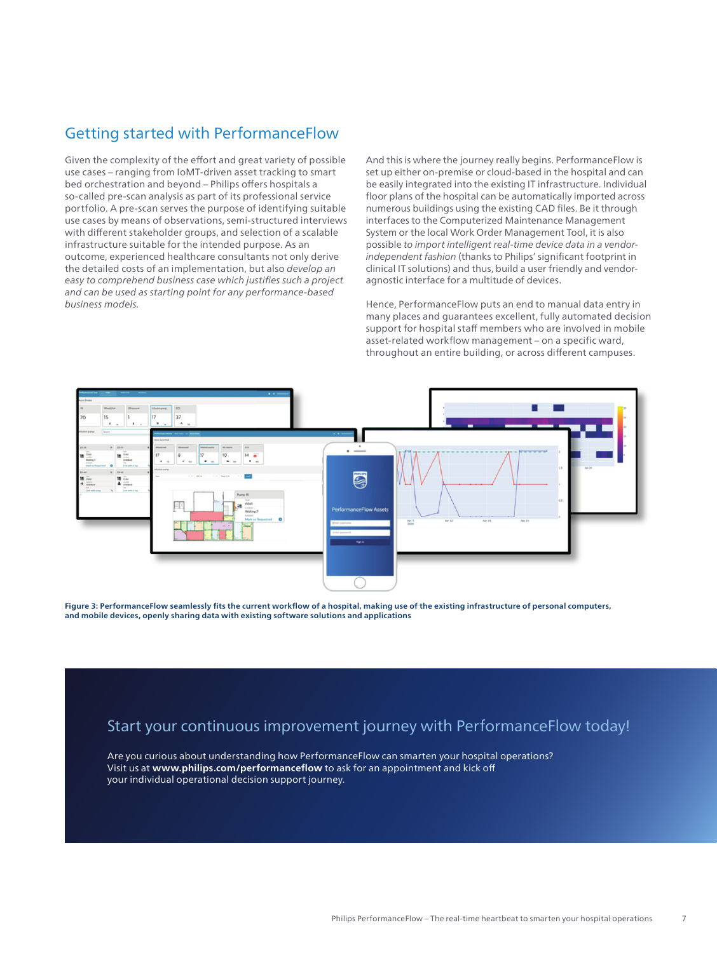### Getting started with PerformanceFlow

Given the complexity of the effort and great variety of possible use cases – ranging from IoMT-driven asset tracking to smart bed orchestration and beyond – Philips offers hospitals a so-called pre-scan analysis as part of its professional service portfolio. A pre-scan serves the purpose of identifying suitable use cases by means of observations, semi-structured interviews with different stakeholder groups, and selection of a scalable infrastructure suitable for the intended purpose. As an outcome, experienced healthcare consultants not only derive the detailed costs of an implementation, but also develop an easy to comprehend business case which justifies such a project and can be used as starting point for any performance-based business models.

And this is where the journey really begins. PerformanceFlow is set up either on-premise or cloud-based in the hospital and can be easily integrated into the existing IT infrastructure. Individual floor plans of the hospital can be automatically imported across numerous buildings using the existing CAD files. Be it through interfaces to the Computerized Maintenance Management System or the local Work Order Management Tool, it is also possible to import intelligent real-time device data in a vendorindependent fashion (thanks to Philips' significant footprint in clinical IT solutions) and thus, build a user friendly and vendoragnostic interface for a multitude of devices.

Hence, PerformanceFlow puts an end to manual data entry in many places and guarantees excellent, fully automated decision support for hospital staff members who are involved in mobile asset-related workflow management – on a specific ward, throughout an entire building, or across different campuses.



**Figure 3: PerformanceFlow seamlessly fits the current workflow of a hospital, making use of the existing infrastructure of personal computers, and mobile devices, openly sharing data with existing software solutions and applications**

### Start your continuous improvement journey with PerformanceFlow today!

Are you curious about understanding how PerformanceFlow can smarten your hospital operations? Visit us at **www.philips.com/performanceflow** to ask for an appointment and kick off your individual operational decision support journey.